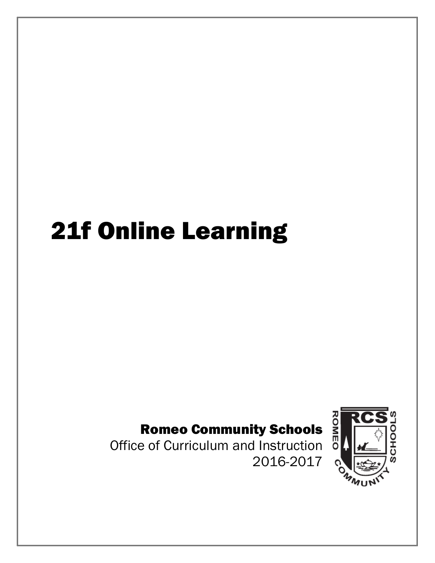# 21f Online Learning

# Romeo Community Schools and Romeo Community Schools and Duriculum and Instruction by

Office of Curriculum and Instruction 2016-2017

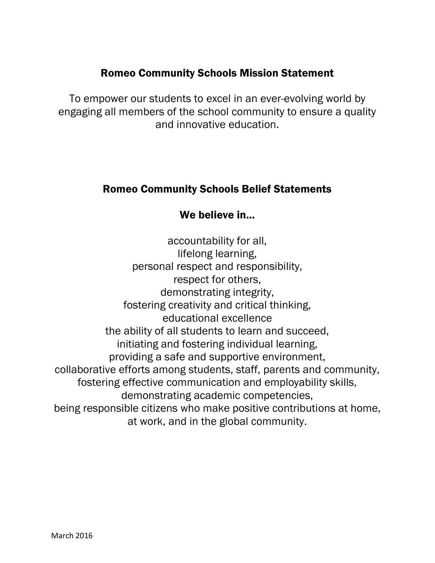### Romeo Community Schools Mission Statement

To empower our students to excel in an ever-evolving world by engaging all members of the school community to ensure a quality and innovative education.

### Romeo Community Schools Belief Statements

## We believe in...

accountability for all, lifelong learning, personal respect and responsibility, respect for others, demonstrating integrity, fostering creativity and critical thinking, educational excellence the ability of all students to learn and succeed, initiating and fostering individual learning, providing a safe and supportive environment, collaborative efforts among students, staff, parents and community, fostering effective communication and employability skills, demonstrating academic competencies, being responsible citizens who make positive contributions at home, at work, and in the global community.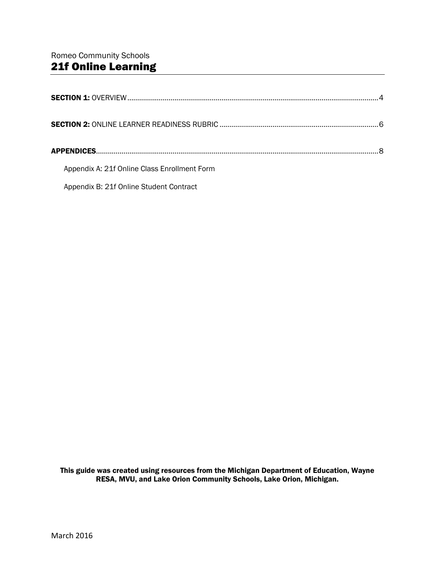| Appendix A: 21f Online Class Enrollment Form |  |
|----------------------------------------------|--|
| Appendix B: 21f Online Student Contract      |  |

This guide was created using resources from the Michigan Department of Education, Wayne RESA, MVU, and Lake Orion Community Schools, Lake Orion, Michigan.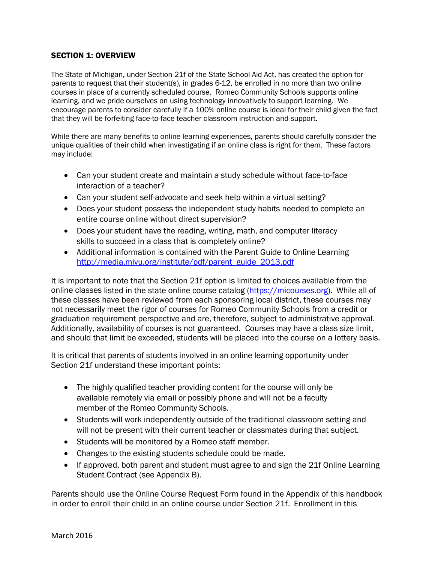### SECTION 1: OVERVIEW

The State of Michigan, under Section 21f of the State School Aid Act, has created the option for parents to request that their student(s), in grades 6-12, be enrolled in no more than two online courses in place of a currently scheduled course. Romeo Community Schools supports online learning, and we pride ourselves on using technology innovatively to support learning. We encourage parents to consider carefully if a 100% online course is ideal for their child given the fact that they will be forfeiting face-to-face teacher classroom instruction and support.

While there are many benefits to online learning experiences, parents should carefully consider the unique qualities of their child when investigating if an online class is right for them. These factors may include:

- Can your student create and maintain a study schedule without face-to-face interaction of a teacher?
- Can your student self-advocate and seek help within a virtual setting?
- Does your student possess the independent study habits needed to complete an entire course online without direct supervision?
- Does your student have the reading, writing, math, and computer literacy skills to succeed in a class that is completely online?
- Additional information is contained with the Parent Guide to Online Learning [http://media.mivu.org/institute/pdf/parent\\_guide\\_2013.pdf](http://media.mivu.org/institute/pdf/parent_guide_2013.pdf)

It is important to note that the Section 21f option is limited to choices available from the online classes listed in the state online course catalog [\(https://micourses.org\)](https://micourses.org/). While all of these classes have been reviewed from each sponsoring local district, these courses may not necessarily meet the rigor of courses for Romeo Community Schools from a credit or graduation requirement perspective and are, therefore, subject to administrative approval. Additionally, availability of courses is not guaranteed. Courses may have a class size limit, and should that limit be exceeded, students will be placed into the course on a lottery basis.

It is critical that parents of students involved in an online learning opportunity under Section 21f understand these important points:

- The highly qualified teacher providing content for the course will only be available remotely via email or possibly phone and will not be a faculty member of the Romeo Community Schools.
- Students will work independently outside of the traditional classroom setting and will not be present with their current teacher or classmates during that subject.
- Students will be monitored by a Romeo staff member.
- Changes to the existing students schedule could be made.
- If approved, both parent and student must agree to and sign the 21f Online Learning Student Contract (see Appendix B).

Parents should use the Online Course Request Form found in the Appendix of this handbook in order to enroll their child in an online course under Section 21f. Enrollment in this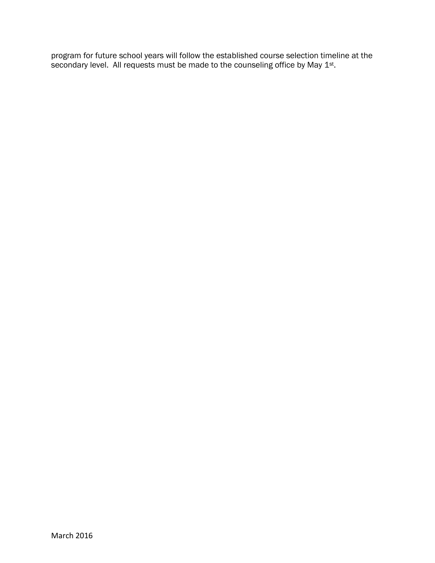program for future school years will follow the established course selection timeline at the secondary level. All requests must be made to the counseling office by May  $1<sup>st</sup>$ .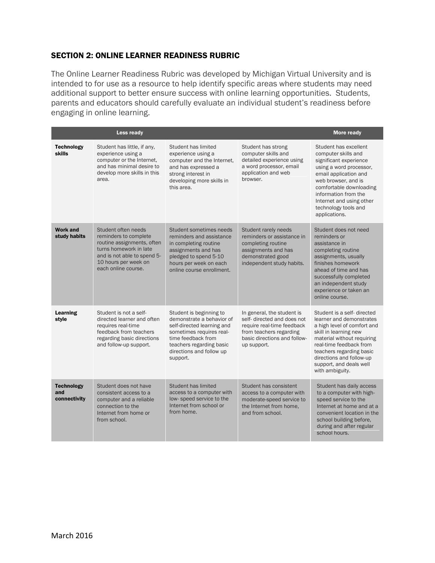### SECTION 2: ONLINE LEARNER READINESS RUBRIC

The Online Learner Readiness Rubric was developed by Michigan Virtual University and is intended to for use as a resource to help identify specific areas where students may need additional support to better ensure success with online learning opportunities. Students, parents and educators should carefully evaluate an individual student's readiness before engaging in online learning.

|                                          | Less ready                                                                                                                                                                         |                                                                                                                                                                                                          |                                                                                                                                                                   | <b>More ready</b>                                                                                                                                                                                                                                                             |
|------------------------------------------|------------------------------------------------------------------------------------------------------------------------------------------------------------------------------------|----------------------------------------------------------------------------------------------------------------------------------------------------------------------------------------------------------|-------------------------------------------------------------------------------------------------------------------------------------------------------------------|-------------------------------------------------------------------------------------------------------------------------------------------------------------------------------------------------------------------------------------------------------------------------------|
| <b>Technology</b><br><b>skills</b>       | Student has little, if any,<br>experience using a<br>computer or the Internet.<br>and has minimal desire to<br>develop more skills in this<br>area.                                | Student has limited<br>experience using a<br>computer and the Internet.<br>and has expressed a<br>strong interest in<br>developing more skills in<br>this area.                                          | Student has strong<br>computer skills and<br>detailed experience using<br>a word processor, email<br>application and web<br>browser.                              | Student has excellent<br>computer skills and<br>significant experience<br>using a word processor,<br>email application and<br>web browser, and is<br>comfortable downloading<br>information from the<br>Internet and using other<br>technology tools and<br>applications.     |
| <b>Work and</b><br>study habits          | Student often needs<br>reminders to complete<br>routine assignments, often<br>turns homework in late<br>and is not able to spend 5-<br>10 hours per week on<br>each online course. | Student sometimes needs<br>reminders and assistance<br>in completing routine<br>assignments and has<br>pledged to spend 5-10<br>hours per week on each<br>online course enrollment.                      | Student rarely needs<br>reminders or assistance in<br>completing routine<br>assignments and has<br>demonstrated good<br>independent study habits.                 | Student does not need<br>reminders or<br>assistance in<br>completing routine<br>assignments, usually<br>finishes homework<br>ahead of time and has<br>successfully completed<br>an independent study<br>experience or taken an<br>online course.                              |
| Learning<br>style                        | Student is not a self-<br>directed learner and often<br>requires real-time<br>feedback from teachers<br>regarding basic directions<br>and follow-up support.                       | Student is beginning to<br>demonstrate a behavior of<br>self-directed learning and<br>sometimes requires real-<br>time feedback from<br>teachers regarding basic<br>directions and follow up<br>support. | In general, the student is<br>self- directed and does not<br>require real-time feedback<br>from teachers regarding<br>basic directions and follow-<br>up support. | Student is a self-directed<br>learner and demonstrates<br>a high level of comfort and<br>skill in learning new<br>material without requiring<br>real-time feedback from<br>teachers regarding basic<br>directions and follow-up<br>support, and deals well<br>with ambiguity. |
| <b>Technology</b><br>and<br>connectivity | Student does not have<br>consistent access to a<br>computer and a reliable<br>connection to the<br>Internet from home or<br>from school.                                           | Student has limited<br>access to a computer with<br>low-speed service to the<br>Internet from school or<br>from home.                                                                                    | Student has consistent<br>access to a computer with<br>moderate-speed service to<br>the Internet from home.<br>and from school.                                   | Student has daily access<br>to a computer with high-<br>speed service to the<br>Internet at home and at a<br>convenient location in the<br>school building before,<br>during and after regular<br>school hours.                                                               |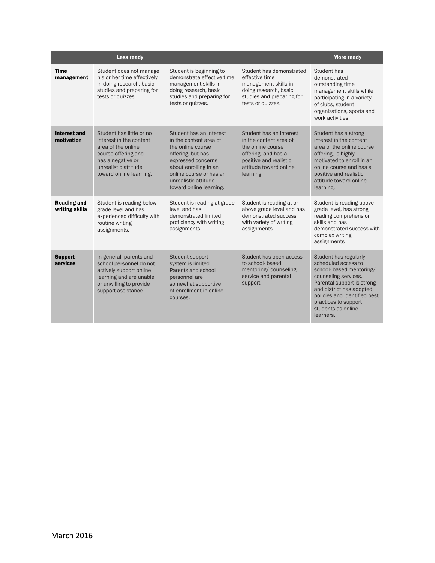|                                      | Less ready                                                                                                                                                               |                                                                                                                                                                                                                          |                                                                                                                                                                | More ready                                                                                                                                                                                                                                            |
|--------------------------------------|--------------------------------------------------------------------------------------------------------------------------------------------------------------------------|--------------------------------------------------------------------------------------------------------------------------------------------------------------------------------------------------------------------------|----------------------------------------------------------------------------------------------------------------------------------------------------------------|-------------------------------------------------------------------------------------------------------------------------------------------------------------------------------------------------------------------------------------------------------|
| <b>Time</b><br>management            | Student does not manage<br>his or her time effectively<br>in doing research, basic<br>studies and preparing for<br>tests or quizzes.                                     | Student is beginning to<br>demonstrate effective time<br>management skills in<br>doing research, basic<br>studies and preparing for<br>tests or quizzes.                                                                 | Student has demonstrated<br>effective time<br>management skills in<br>doing research, basic<br>studies and preparing for<br>tests or quizzes.                  | Student has<br>demonstrated<br>outstanding time<br>management skills while<br>participating in a variety<br>of clubs, student<br>organizations, sports and<br>work activities.                                                                        |
| <b>Interest and</b><br>motivation    | Student has little or no<br>interest in the content<br>area of the online<br>course offering and<br>has a negative or<br>unrealistic attitude<br>toward online learning. | Student has an interest<br>in the content area of<br>the online course<br>offering, but has<br>expressed concerns<br>about enrolling in an<br>online course or has an<br>unrealistic attitude<br>toward online learning. | Student has an interest<br>in the content area of<br>the online course<br>offering, and has a<br>positive and realistic<br>attitude toward online<br>learning. | Student has a strong<br>interest in the content<br>area of the online course<br>offering, is highly<br>motivated to enroll in an<br>online course and has a<br>positive and realistic<br>attitude toward online<br>learning.                          |
| <b>Reading and</b><br>writing skills | Student is reading below<br>grade level and has<br>experienced difficulty with<br>routine writing<br>assignments.                                                        | Student is reading at grade<br>level and has<br>demonstrated limited<br>proficiency with writing<br>assignments.                                                                                                         | Student is reading at or<br>above grade level and has<br>demonstrated success<br>with variety of writing<br>assignments.                                       | Student is reading above<br>grade level, has strong<br>reading comprehension<br>skills and has<br>demonstrated success with<br>complex writing<br>assignments                                                                                         |
| <b>Support</b><br>services           | In general, parents and<br>school personnel do not<br>actively support online<br>learning and are unable<br>or unwilling to provide<br>support assistance.               | Student support<br>system is limited.<br>Parents and school<br>personnel are<br>somewhat supportive<br>of enrollment in online<br>courses.                                                                               | Student has open access<br>to school- based<br>mentoring/counseling<br>service and parental<br>support                                                         | Student has regularly<br>scheduled access to<br>school- based mentoring/<br>counseling services.<br>Parental support is strong<br>and district has adopted<br>policies and identified best<br>practices to support<br>students as online<br>learners. |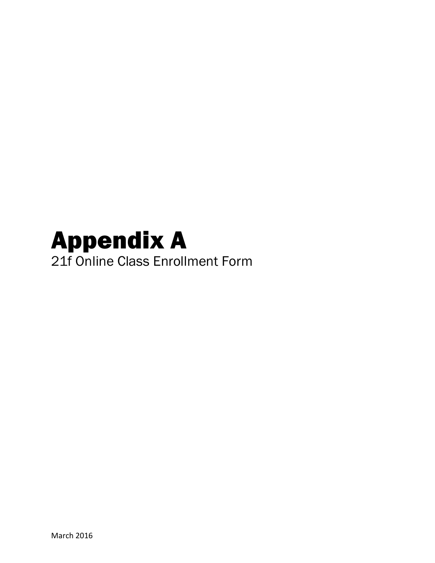# Appendix A 21f Online Class Enrollment Form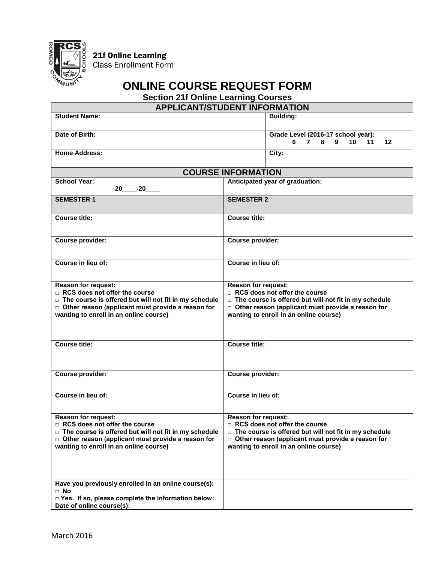

21f Online Learning

Class Enrollment Form

# **ONLINE COURSE REQUEST FORM**

**Section 21f Online Learning Courses**

| <b>APPLICANT/STUDENT INFORMATION</b>                                                                                                                                                                                                |                                                                    |                                                                                                                                                                    |  |
|-------------------------------------------------------------------------------------------------------------------------------------------------------------------------------------------------------------------------------------|--------------------------------------------------------------------|--------------------------------------------------------------------------------------------------------------------------------------------------------------------|--|
| <b>Student Name:</b>                                                                                                                                                                                                                |                                                                    | <b>Building:</b>                                                                                                                                                   |  |
| Date of Birth:                                                                                                                                                                                                                      |                                                                    | Grade Level (2016-17 school year):<br>7 8<br>9<br>10 <sup>1</sup><br>11<br>$12 \,$<br>6                                                                            |  |
| <b>Home Address:</b>                                                                                                                                                                                                                |                                                                    | City:                                                                                                                                                              |  |
|                                                                                                                                                                                                                                     | <b>COURSE INFORMATION</b>                                          |                                                                                                                                                                    |  |
| <b>School Year:</b><br>$-20$<br>20 a                                                                                                                                                                                                | Anticipated year of graduation:                                    |                                                                                                                                                                    |  |
| <b>SEMESTER 1</b>                                                                                                                                                                                                                   | <b>SEMESTER 2</b>                                                  |                                                                                                                                                                    |  |
| <b>Course title:</b>                                                                                                                                                                                                                | <b>Course title:</b>                                               |                                                                                                                                                                    |  |
| Course provider:                                                                                                                                                                                                                    | Course provider:                                                   |                                                                                                                                                                    |  |
| Course in lieu of:                                                                                                                                                                                                                  | Course in lieu of:                                                 |                                                                                                                                                                    |  |
| <b>Reason for request:</b><br>RCS does not offer the course<br>□ The course is offered but will not fit in my schedule<br>$\Box$ Other reason (applicant must provide a reason for<br>wanting to enroll in an online course)        | <b>Reason for request:</b><br>RCS does not offer the course        | $\Box$ The course is offered but will not fit in my schedule<br>$\Box$ Other reason (applicant must provide a reason for<br>wanting to enroll in an online course) |  |
| <b>Course title:</b>                                                                                                                                                                                                                | <b>Course title:</b>                                               |                                                                                                                                                                    |  |
| Course provider:                                                                                                                                                                                                                    | <b>Course provider:</b>                                            |                                                                                                                                                                    |  |
| Course in lieu of:                                                                                                                                                                                                                  | Course in lieu of:                                                 |                                                                                                                                                                    |  |
| <b>Reason for request:</b><br>$\Box$ RCS does not offer the course<br>□ The course is offered but will not fit in my schedule<br>$\Box$ Other reason (applicant must provide a reason for<br>wanting to enroll in an online course) | <b>Reason for request:</b><br>$\Box$ RCS does not offer the course | $\Box$ The course is offered but will not fit in my schedule<br>$\Box$ Other reason (applicant must provide a reason for<br>wanting to enroll in an online course) |  |
| Have you previously enrolled in an online course(s):<br>$\Box$ No<br>□ Yes. If so, please complete the information below:<br>Date of online course(s):                                                                              |                                                                    |                                                                                                                                                                    |  |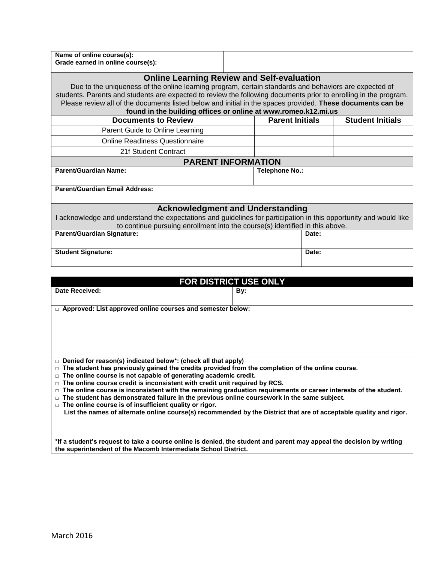| Name of online course(s):<br>Grade earned in online course(s):                                                                                                                                                                                                                                                                                                                                                                                                                                                                                                                                                                                                                                                                                             |                        |       |                         |
|------------------------------------------------------------------------------------------------------------------------------------------------------------------------------------------------------------------------------------------------------------------------------------------------------------------------------------------------------------------------------------------------------------------------------------------------------------------------------------------------------------------------------------------------------------------------------------------------------------------------------------------------------------------------------------------------------------------------------------------------------------|------------------------|-------|-------------------------|
| <b>Online Learning Review and Self-evaluation</b><br>Due to the uniqueness of the online learning program, certain standards and behaviors are expected of<br>students. Parents and students are expected to review the following documents prior to enrolling in the program.<br>Please review all of the documents listed below and initial in the spaces provided. These documents can be<br>found in the building offices or online at www.romeo.k12.mi.us                                                                                                                                                                                                                                                                                             |                        |       |                         |
| <b>Documents to Review</b>                                                                                                                                                                                                                                                                                                                                                                                                                                                                                                                                                                                                                                                                                                                                 | <b>Parent Initials</b> |       | <b>Student Initials</b> |
| Parent Guide to Online Learning                                                                                                                                                                                                                                                                                                                                                                                                                                                                                                                                                                                                                                                                                                                            |                        |       |                         |
| <b>Online Readiness Questionnaire</b>                                                                                                                                                                                                                                                                                                                                                                                                                                                                                                                                                                                                                                                                                                                      |                        |       |                         |
| 21f Student Contract                                                                                                                                                                                                                                                                                                                                                                                                                                                                                                                                                                                                                                                                                                                                       |                        |       |                         |
| <b>PARENT INFORMATION</b>                                                                                                                                                                                                                                                                                                                                                                                                                                                                                                                                                                                                                                                                                                                                  |                        |       |                         |
| <b>Parent/Guardian Name:</b>                                                                                                                                                                                                                                                                                                                                                                                                                                                                                                                                                                                                                                                                                                                               | <b>Telephone No.:</b>  |       |                         |
| <b>Parent/Guardian Email Address:</b>                                                                                                                                                                                                                                                                                                                                                                                                                                                                                                                                                                                                                                                                                                                      |                        |       |                         |
| <b>Acknowledgment and Understanding</b><br>I acknowledge and understand the expectations and guidelines for participation in this opportunity and would like<br>to continue pursuing enrollment into the course(s) identified in this above.                                                                                                                                                                                                                                                                                                                                                                                                                                                                                                               |                        |       |                         |
| <b>Parent/Guardian Signature:</b>                                                                                                                                                                                                                                                                                                                                                                                                                                                                                                                                                                                                                                                                                                                          |                        | Date: |                         |
| <b>Student Signature:</b>                                                                                                                                                                                                                                                                                                                                                                                                                                                                                                                                                                                                                                                                                                                                  |                        | Date: |                         |
|                                                                                                                                                                                                                                                                                                                                                                                                                                                                                                                                                                                                                                                                                                                                                            |                        |       |                         |
| FOR DISTRICT USE ONLY                                                                                                                                                                                                                                                                                                                                                                                                                                                                                                                                                                                                                                                                                                                                      |                        |       |                         |
| <b>Date Received:</b>                                                                                                                                                                                                                                                                                                                                                                                                                                                                                                                                                                                                                                                                                                                                      | By:                    |       |                         |
| □ Approved: List approved online courses and semester below:                                                                                                                                                                                                                                                                                                                                                                                                                                                                                                                                                                                                                                                                                               |                        |       |                         |
|                                                                                                                                                                                                                                                                                                                                                                                                                                                                                                                                                                                                                                                                                                                                                            |                        |       |                         |
| Denied for reason(s) indicated below*: (check all that apply)<br>□ The student has previously gained the credits provided from the completion of the online course.<br>$\Box$ The online course is not capable of generating academic credit.<br>$\Box$ The online course credit is inconsistent with credit unit required by RCS.<br>$\Box$ The online course is inconsistent with the remaining graduation requirements or career interests of the student.<br>$\Box$ The student has demonstrated failure in the previous online coursework in the same subject.<br>$\Box$ The online course is of insufficient quality or rigor.<br>List the names of alternate online course(s) recommended by the District that are of acceptable quality and rigor. |                        |       |                         |

**\*If a student's request to take a course online is denied, the student and parent may appeal the decision by writing the superintendent of the Macomb Intermediate School District.**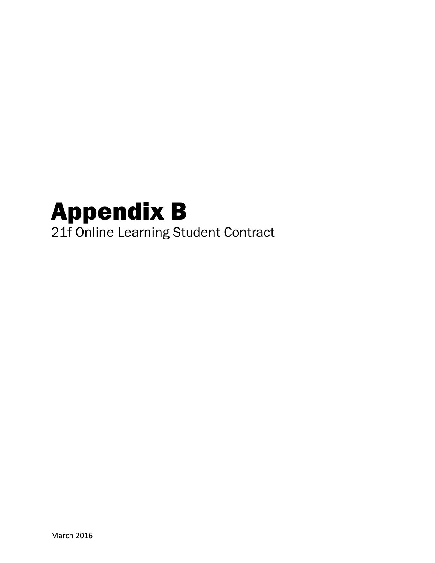# Appendix B 21f Online Learning Student Contract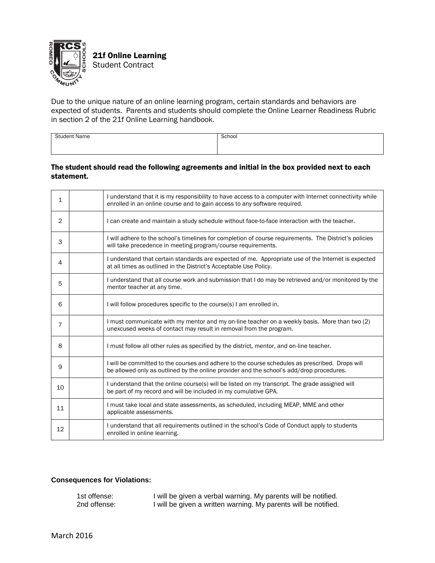

Due to the unique nature of an online learning program, certain standards and behaviors are expected of students. Parents and students should complete the Online Learner Readiness Rubric in section 2 of the 21f Online Learning handbook.

| . .<br>vane<br>. | 100.<br>. |
|------------------|-----------|
|                  |           |

### The student should read the following agreements and initial in the box provided next to each statement.

| 1  | I understand that it is my responsibility to have access to a computer with Internet connectivity while<br>enrolled in an online course and to gain access to any software required.        |
|----|---------------------------------------------------------------------------------------------------------------------------------------------------------------------------------------------|
| 2  | I can create and maintain a study schedule without face-to-face interaction with the teacher.                                                                                               |
| 3  | I will adhere to the school's timelines for completion of course requirements. The District's policies<br>will take precedence in meeting program/course requirements.                      |
| 4  | I understand that certain standards are expected of me. Appropriate use of the Internet is expected<br>at all times as outlined in the District's Acceptable Use Policy.                    |
| 5  | I understand that all course work and submission that I do may be retrieved and/or monitored by the<br>mentor teacher at any time.                                                          |
| 6  | I will follow procedures specific to the course(s) I am enrolled in.                                                                                                                        |
| 7  | I must communicate with my mentor and my on-line teacher on a weekly basis. More than two (2)<br>unexcused weeks of contact may result in removal from the program.                         |
| 8  | I must follow all other rules as specified by the district, mentor, and on-line teacher.                                                                                                    |
| 9  | I will be committed to the courses and adhere to the course schedules as prescribed. Drops will<br>be allowed only as outlined by the online provider and the school's add/drop procedures. |
| 10 | I understand that the online course(s) will be listed on my transcript. The grade assigned will<br>be part of my record and will be included in my cumulative GPA.                          |
| 11 | I must take local and state assessments, as scheduled, including MEAP, MME and other<br>applicable assessments.                                                                             |
| 12 | I understand that all requirements outlined in the school's Code of Conduct apply to students<br>enrolled in online learning.                                                               |

### **Consequences for Violations:**

| 1st offense: | I will be given a verbal warning. My parents will be notified.  |
|--------------|-----------------------------------------------------------------|
| 2nd offense: | I will be given a written warning. My parents will be notified. |